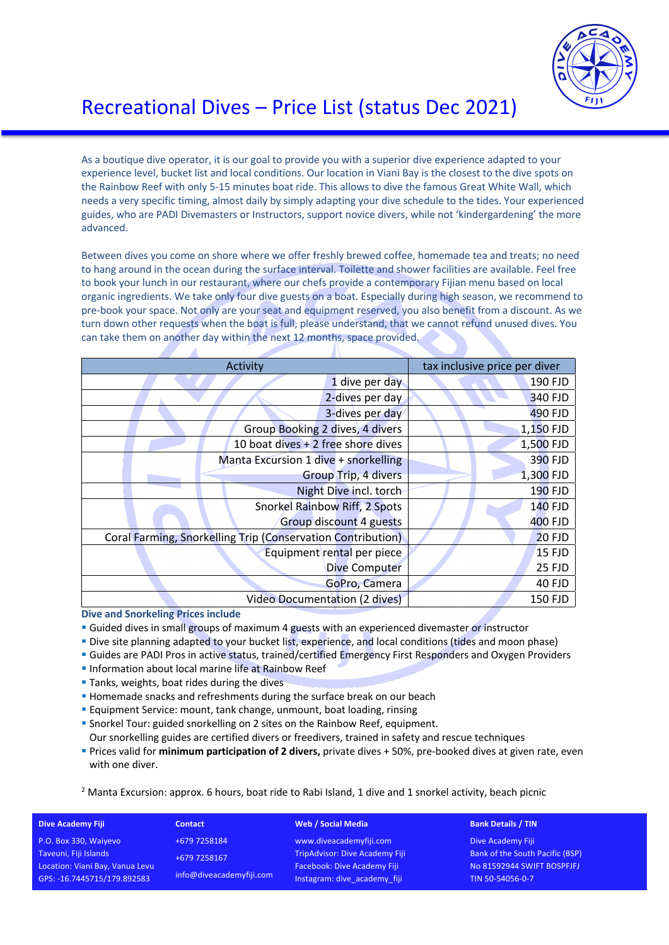

# Recreational Dives – Price List (status Dec 2021)

As a boutique dive operator, it is our goal to provide you with a superior dive experience adapted to your experience level, bucket list and local conditions. Our location in Viani Bay is the closest to the dive spots on the Rainbow Reef with only 5-15 minutes boat ride. This allows to dive the famous Great White Wall, which needs a very specific timing, almost daily by simply adapting your dive schedule to the tides. Your experienced guides, who are PADI Divemasters or Instructors, support novice divers, while not 'kindergardening' the more advanced.

Between dives you come on shore where we offer freshly brewed coffee, homemade tea and treats; no need to hang around in the ocean during the surface interval. Toilette and shower facilities are available. Feel free to book your lunch in our restaurant, where our chefs provide a contemporary Fijian menu based on local organic ingredients. We take only four dive guests on a boat. Especially during high season, we recommend to pre-book your space. Not only are your seat and equipment reserved, you also benefit from a discount. As we turn down other requests when the boat is full, please understand, that we cannot refund unused dives. You can take them on another day within the next 12 months, space provided.

| Activity                                                    | tax inclusive price per diver |
|-------------------------------------------------------------|-------------------------------|
|                                                             |                               |
| 1 dive per day                                              | 190 FJD                       |
| 2-dives per day                                             | 340 FJD                       |
| 3-dives per day                                             | 490 FJD                       |
| Group Booking 2 dives, 4 divers                             | 1,150 FJD                     |
| 10 boat dives $+2$ free shore dives                         | 1,500 FJD                     |
| Manta Excursion 1 dive + snorkelling                        | 390 FJD                       |
| <b>Group Trip, 4 divers</b>                                 | 1,300 FJD                     |
| Night Dive incl. torch                                      | <b>190 FJD</b>                |
| Snorkel Rainbow Riff, 2 Spots                               | <b>140 FJD</b>                |
| <b>Group discount 4 guests</b>                              | 400 FJD                       |
| Coral Farming, Snorkelling Trip (Conservation Contribution) | $20$ FJD                      |
| Equipment rental per piece                                  | <b>15 FJD</b>                 |
| <b>Dive Computer</b>                                        | 25 FJD                        |
| GoPro, Camera                                               | 40 FJD                        |
| Video Documentation (2 dives)                               | <b>150 FJD</b>                |

**Dive and Snorkeling Prices include**

- § Guided dives in small groups of maximum 4 guests with an experienced divemaster or instructor
- § Dive site planning adapted to your bucket list, experience, and local conditions (tides and moon phase)
- § Guides are PADI Pros in active status, trained/certified Emergency First Responders and Oxygen Providers
- **Information about local marine life at Rainbow Reef**
- Tanks, weights, boat rides during the dives

A

- Homemade snacks and refreshments during the surface break on our beach
- § Equipment Service: mount, tank change, unmount, boat loading, rinsing
- § Snorkel Tour: guided snorkelling on 2 sites on the Rainbow Reef, equipment.
- Our snorkelling guides are certified divers or freedivers, trained in safety and rescue techniques
- § Prices valid for **minimum participation of 2 divers,** private dives + 50%, pre-booked dives at given rate, even with one diver.

### $<sup>2</sup>$  Manta Excursion: approx. 6 hours, boat ride to Rabi Island, 1 dive and 1 snorkel activity, beach picnic</sup>

| <b>Dive Academy Fiji</b>        | <b>Contact</b>           | <b>Web / Social Media</b>             | <b>Bank Details / TIN</b>              |
|---------------------------------|--------------------------|---------------------------------------|----------------------------------------|
| P.O. Box 330, Waiyevo           | +679 7258184             | www.diveacademyfiji.com               | Dive Academy Fiji                      |
| Taveuni, Fiji Islands           | +679 7258167             | <b>TripAdvisor: Dive Academy Fiji</b> | <b>Bank of the South Pacific (BSP)</b> |
| Location: Viani Bay, Vanua Levu |                          | Facebook: Dive Academy Fiji           | No 81592944 SWIFT BOSPFJFJ             |
| GPS: -16.7445715/179.892583     | info@diveacademyfiji.com | Instagram: dive_academy_fiji          | TIN 50-54056-0-7                       |